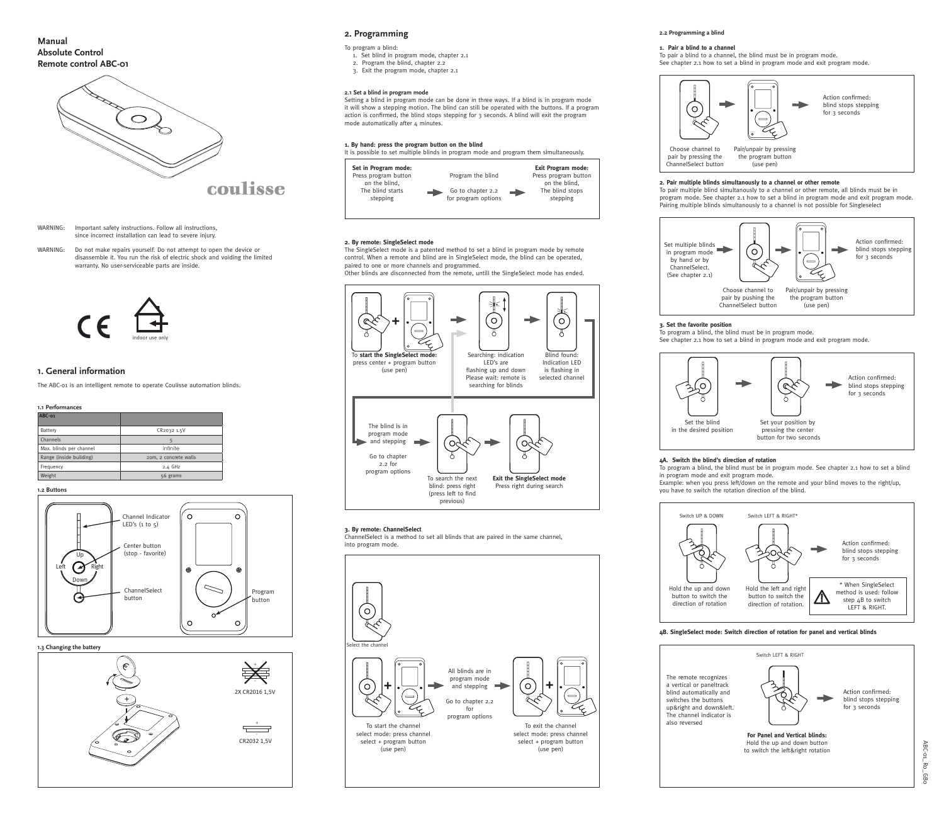



WARNING: Important safety instructions. Follow all instructions, since incorrect installation can lead to severe injury.

Do not make repairs yourself. Do not attempt to open the device or disassemble it. You run the risk of electric shock and voiding the limited warranty. No user-serviceable parts are inside. WARNING:

**Manual Absolute Control Remote control ABC-01**



coulisse

# **1. General information**

### **1.3 Changing the battery**

| ABC-01                  |                       |
|-------------------------|-----------------------|
| <b>Battery</b>          | CR2032 1.5V           |
| Channels                | 5                     |
| Max. blinds per channel | infinite              |
| Range (inside building) | 20m, 2 concrete walls |
| Frequency               | $2.4$ GHz             |
| Weight                  | 56 grams              |

### **1.1 Performances**

**1.2 Buttons**



The ABC-o1 is an intelligent remote to operate Coulisse automation blinds.

Setting a blind in program mode can be done in three ways. If a blind is in program mode it will show a stepping motion. The blind can still be operated with the buttons. If a program action is confirmed, the blind stops stepping for 3 seconds. A blind will exit the program mode automatically after  $\mu$  minutes.

The SingleSelect mode is a patented method to set a blind in program mode by remote control. When a remote and blind are in SingleSelect mode, the blind can be operated, paired to one or more channels and programmed. Other blinds are disconnected from the remote, untill the SingleSelect mode has ended.







# **2. Programming**

### **2.1 Set a blind in program mode**

#### To pair a blind to a channel, the blind must be in program mode. **1. Pair a blind to a channel**

See chapter 2.1 how to set a blind in program mode and exit program mode.



- 
- 

#### **3. Set the favorite position**

To program a blind, the blind must be in program mode. See chapter 2.1 how to set a blind in program mode and exit program mode.







### **4A. Switch the blind's direction of rotation**

### **4B. SingleSelect mode: Switch direction of rotation for panel and vertical blinds**

To program a blind, the blind must be in program mode. See chapter 2.1 how to set a blind in program mode and exit program mode.

Example: when you press left/down on the remote and your blind moves to the right/up, you have to switch the rotation direction of the blind.



- 1. Set blind in program mode, chapter 2.1 2. Program the blind, chapter 2.2
- 3. Exit the program mode, chapter 2.1



To program a blind: